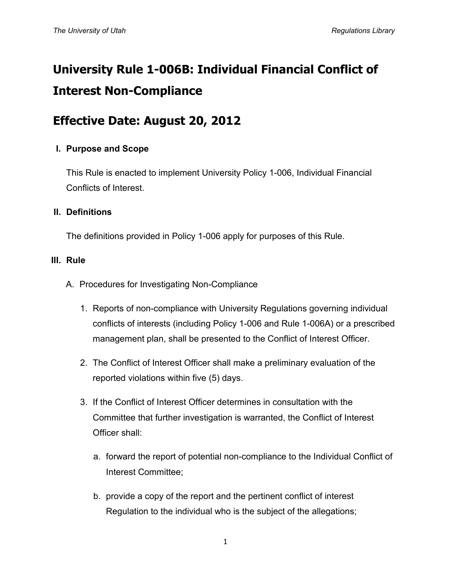# **University Rule 1-006B: Individual Financial Conflict of Interest Non-Compliance**

## **Effective Date: August 20, 2012**

### **I. Purpose and Scope**

This Rule is enacted to implement University Policy 1-006, Individual Financial Conflicts of Interest.

#### **II. Definitions**

The definitions provided in Policy 1-006 apply for purposes of this Rule.

#### **III. Rule**

- A. Procedures for Investigating Non-Compliance
	- 1. Reports of non-compliance with University Regulations governing individual conflicts of interests (including Policy 1-006 and Rule 1-006A) or a prescribed management plan, shall be presented to the Conflict of Interest Officer.
	- 2. The Conflict of Interest Officer shall make a preliminary evaluation of the reported violations within five (5) days.
	- 3. If the Conflict of Interest Officer determines in consultation with the Committee that further investigation is warranted, the Conflict of Interest Officer shall:
		- a. forward the report of potential non-compliance to the Individual Conflict of Interest Committee;
		- b. provide a copy of the report and the pertinent conflict of interest Regulation to the individual who is the subject of the allegations;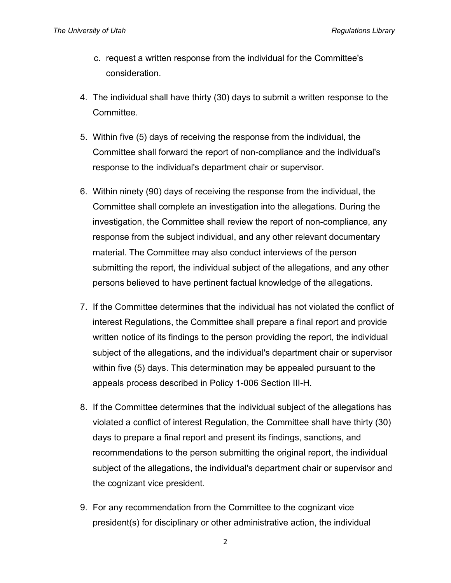- c. request a written response from the individual for the Committee's consideration.
- 4. The individual shall have thirty (30) days to submit a written response to the Committee.
- 5. Within five (5) days of receiving the response from the individual, the Committee shall forward the report of non-compliance and the individual's response to the individual's department chair or supervisor.
- 6. Within ninety (90) days of receiving the response from the individual, the Committee shall complete an investigation into the allegations. During the investigation, the Committee shall review the report of non-compliance, any response from the subject individual, and any other relevant documentary material. The Committee may also conduct interviews of the person submitting the report, the individual subject of the allegations, and any other persons believed to have pertinent factual knowledge of the allegations.
- 7. If the Committee determines that the individual has not violated the conflict of interest Regulations, the Committee shall prepare a final report and provide written notice of its findings to the person providing the report, the individual subject of the allegations, and the individual's department chair or supervisor within five (5) days. This determination may be appealed pursuant to the appeals process described in Policy 1-006 Section III-H.
- 8. If the Committee determines that the individual subject of the allegations has violated a conflict of interest Regulation, the Committee shall have thirty (30) days to prepare a final report and present its findings, sanctions, and recommendations to the person submitting the original report, the individual subject of the allegations, the individual's department chair or supervisor and the cognizant vice president.
- 9. For any recommendation from the Committee to the cognizant vice president(s) for disciplinary or other administrative action, the individual